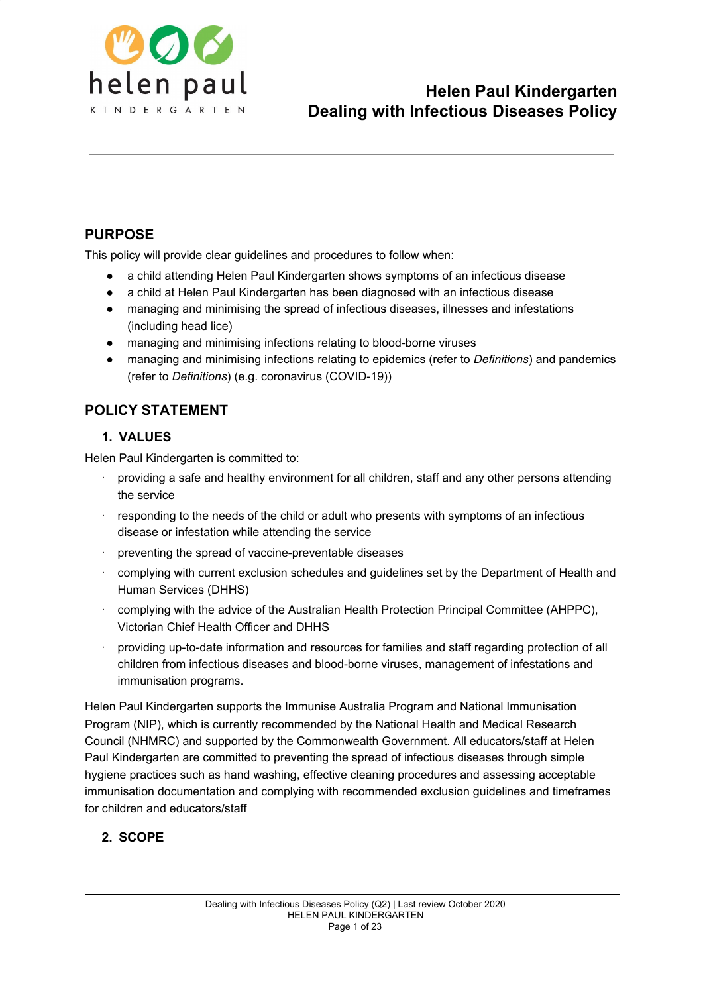

## **PURPOSE**

This policy will provide clear guidelines and procedures to follow when:

- a child attending Helen Paul Kindergarten shows symptoms of an infectious disease
- a child at Helen Paul Kindergarten has been diagnosed with an infectious disease
- managing and minimising the spread of infectious diseases, illnesses and infestations (including head lice)
- managing and minimising infections relating to blood-borne viruses
- managing and minimising infections relating to epidemics (refer to *Definitions*) and pandemics (refer to *Definitions*) (e.g. coronavirus (COVID-19))

## **POLICY STATEMENT**

### **1. VALUES**

Helen Paul Kindergarten is committed to:

- providing a safe and healthy environment for all children, staff and any other persons attending the service
- · responding to the needs of the child or adult who presents with symptoms of an infectious disease or infestation while attending the service
- · preventing the spread of vaccine-preventable diseases
- · complying with current exclusion schedules and guidelines set by the Department of Health and Human Services (DHHS)
- · complying with the advice of the Australian Health Protection Principal Committee (AHPPC), Victorian Chief Health Officer and DHHS
- providing up-to-date information and resources for families and staff regarding protection of all children from infectious diseases and blood-borne viruses, management of infestations and immunisation programs.

Helen Paul Kindergarten supports the Immunise Australia Program and National Immunisation Program (NIP), which is currently recommended by the National Health and Medical Research Council (NHMRC) and supported by the Commonwealth Government. All educators/staff at Helen Paul Kindergarten are committed to preventing the spread of infectious diseases through simple hygiene practices such as hand washing, effective cleaning procedures and assessing acceptable immunisation documentation and complying with recommended exclusion guidelines and timeframes for children and educators/staff

### **2. SCOPE**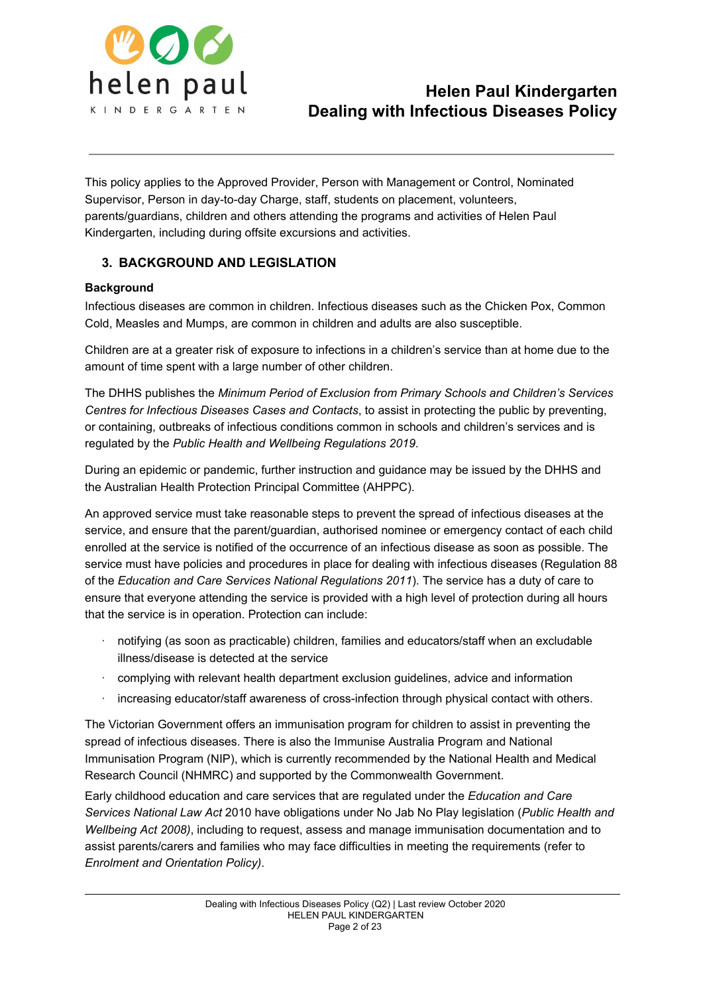

This policy applies to the Approved Provider, Person with Management or Control, Nominated Supervisor, Person in day-to-day Charge, staff, students on placement, volunteers, parents/guardians, children and others attending the programs and activities of Helen Paul Kindergarten, including during offsite excursions and activities.

### **3. BACKGROUND AND LEGISLATION**

#### **Background**

Infectious diseases are common in children. Infectious diseases such as the Chicken Pox, Common Cold, Measles and Mumps, are common in children and adults are also susceptible.

Children are at a greater risk of exposure to infections in a children's service than at home due to the amount of time spent with a large number of other children.

The DHHS publishes the *Minimum Period of Exclusion from Primary Schools and Children's Services Centres for Infectious Diseases Cases and Contacts*, to assist in protecting the public by preventing, or containing, outbreaks of infectious conditions common in schools and children's services and is regulated by the *Public Health and Wellbeing Regulations 2019*.

During an epidemic or pandemic, further instruction and guidance may be issued by the DHHS and the Australian Health Protection Principal Committee (AHPPC).

An approved service must take reasonable steps to prevent the spread of infectious diseases at the service, and ensure that the parent/guardian, authorised nominee or emergency contact of each child enrolled at the service is notified of the occurrence of an infectious disease as soon as possible. The service must have policies and procedures in place for dealing with infectious diseases (Regulation 88 of the *Education and Care Services National Regulations 2011*). The service has a duty of care to ensure that everyone attending the service is provided with a high level of protection during all hours that the service is in operation. Protection can include:

- · notifying (as soon as practicable) children, families and educators/staff when an excludable illness/disease is detected at the service
- · complying with relevant health department exclusion guidelines, advice and information
- increasing educator/staff awareness of cross-infection through physical contact with others.

The Victorian Government offers an immunisation program for children to assist in preventing the spread of infectious diseases. There is also the Immunise Australia Program and National Immunisation Program (NIP), which is currently recommended by the National Health and Medical Research Council (NHMRC) and supported by the Commonwealth Government.

Early childhood education and care services that are regulated under the *Education and Care Services National Law Act* 2010 have obligations under No Jab No Play legislation (*Public Health and Wellbeing Act 2008)*, including to request, assess and manage immunisation documentation and to assist parents/carers and families who may face difficulties in meeting the requirements (refer to *Enrolment and Orientation Policy)*.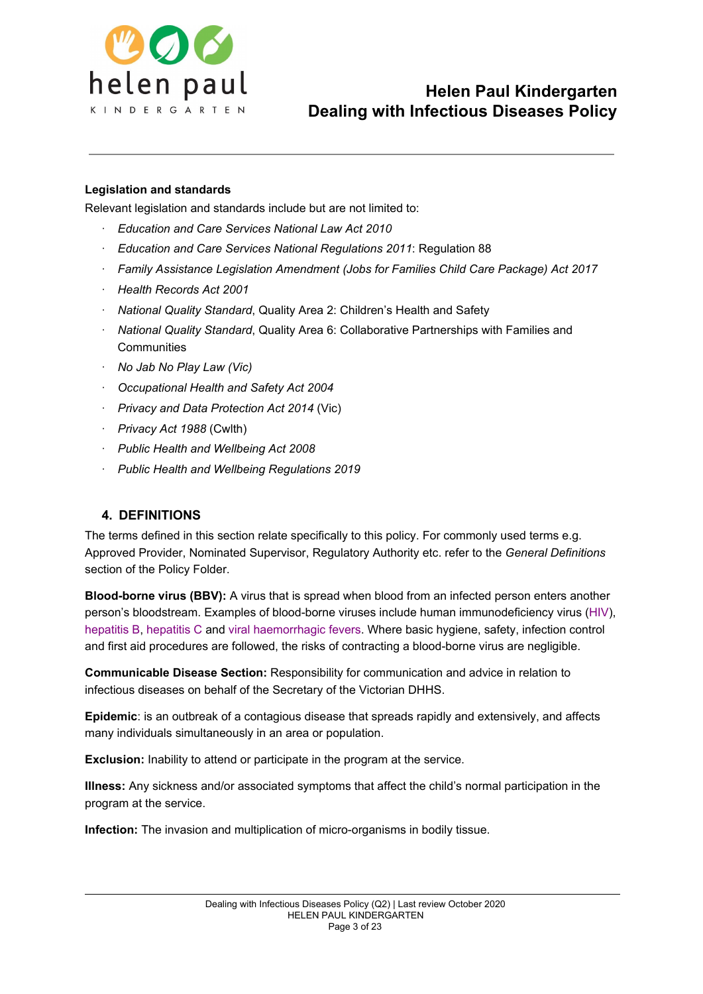

#### **Legislation and standards**

Relevant legislation and standards include but are not limited to:

- · *Education and Care Services National Law Act 2010*
- · *Education and Care Services National Regulations 2011*: Regulation 88
- · *Family Assistance Legislation Amendment (Jobs for Families Child Care Package) Act 2017*
- · *Health Records Act 2001*
- · *National Quality Standard*, Quality Area 2: Children's Health and Safety
- · *National Quality Standard*, Quality Area 6: Collaborative Partnerships with Families and **Communities**
- · *No Jab No Play Law (Vic)*
- · *Occupational Health and Safety Act 2004*
- · *Privacy and Data Protection Act 2014* (Vic)
- · *Privacy Act 1988* (Cwlth)
- · *Public Health and Wellbeing Act 2008*
- · *Public Health and Wellbeing Regulations 2019*

#### **4. DEFINITIONS**

The terms defined in this section relate specifically to this policy. For commonly used terms e.g. Approved Provider, Nominated Supervisor, Regulatory Authority etc. refer to the *General Definitions* section of the Policy Folder.

**Blood-borne virus (BBV):** A virus that is spread when blood from an infected person enters another person's bloodstream. Examples of blood-borne viruses include human immunodeficiency virus ([HIV](http://en.wikipedia.org/wiki/HIV))[,](http://en.wikipedia.org/wiki/Hepatitis_B) [hepatitis](http://en.wikipedia.org/wiki/Hepatitis_B) B, [hepatitis](http://en.wikipedia.org/wiki/Hepatitis_C) C and [v](http://en.wikipedia.org/wiki/Viral_hemorrhagic_fever)iral [haemorrhagic](http://en.wikipedia.org/wiki/Viral_hemorrhagic_fever) fevers. Where basic hygiene, safety, infection control and first aid procedures are followed, the risks of contracting a blood-borne virus are negligible.

**Communicable Disease Section:** Responsibility for communication and advice in relation to infectious diseases on behalf of the Secretary of the Victorian DHHS.

**Epidemic**: is an outbreak of a contagious disease that spreads rapidly and extensively, and affects many individuals simultaneously in an area or population.

**Exclusion:** Inability to attend or participate in the program at the service.

**Illness:** Any sickness and/or associated symptoms that affect the child's normal participation in the program at the service.

**Infection:** The invasion and multiplication of micro-organisms in bodily tissue.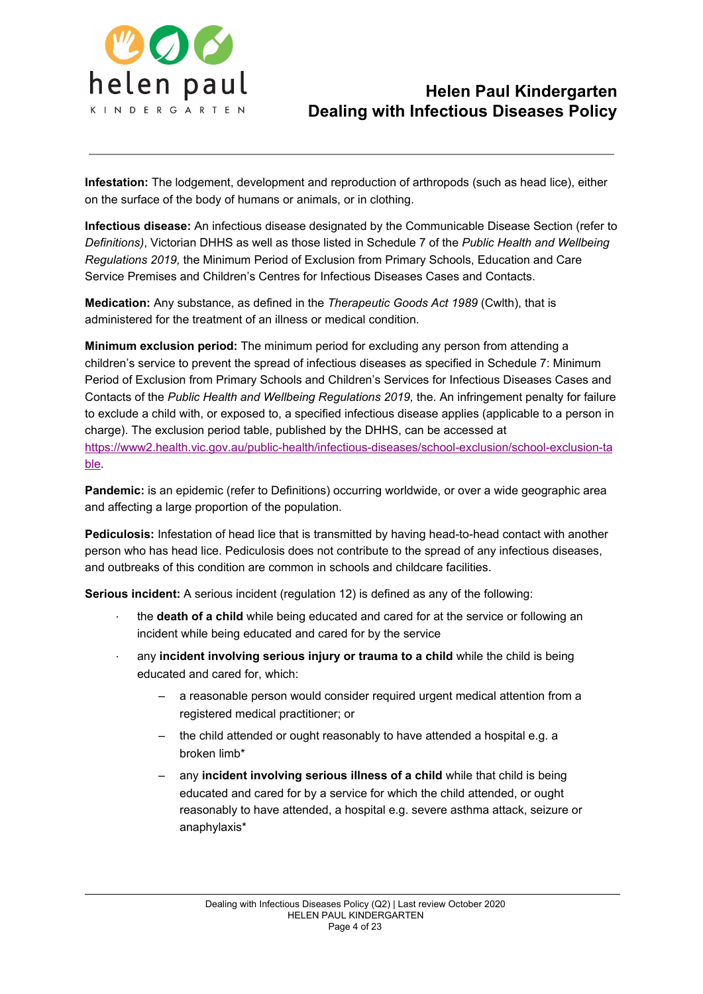

**Infestation:** The lodgement, development and reproduction of arthropods (such as head lice), either on the surface of the body of humans or animals, or in clothing.

**Infectious disease:** An infectious disease designated by the Communicable Disease Section (refer to *Definitions)*, Victorian DHHS as well as those listed in Schedule 7 of the *Public Health and Wellbeing Regulations 2019,* the Minimum Period of Exclusion from Primary Schools, Education and Care Service Premises and Children's Centres for Infectious Diseases Cases and Contacts.

**Medication:** Any substance, as defined in the *Therapeutic Goods Act 1989* (Cwlth), that is administered for the treatment of an illness or medical condition.

**Minimum exclusion period:** The minimum period for excluding any person from attending a children's service to prevent the spread of infectious diseases as specified in Schedule 7: Minimum Period of Exclusion from Primary Schools and Children's Services for Infectious Diseases Cases and Contacts of the *Public Health and Wellbeing Regulations 2019,* the. An infringement penalty for failure to exclude a child with, or exposed to, a specified infectious disease applies (applicable to a person in charge). The exclusion period table, published by the DHHS, can be accessed a[t](https://www2.health.vic.gov.au/public-health/infectious-diseases/school-exclusion/school-exclusion-table) [https://www2.health.vic.gov.au/public-health/infectious-diseases/school-exclusion/school-exclusion-ta](https://www2.health.vic.gov.au/public-health/infectious-diseases/school-exclusion/school-exclusion-table) [ble.](https://www2.health.vic.gov.au/public-health/infectious-diseases/school-exclusion/school-exclusion-table)

**Pandemic:** is an epidemic (refer to Definitions) occurring worldwide, or over a wide geographic area and affecting a large proportion of the population.

**Pediculosis:** Infestation of head lice that is transmitted by having head-to-head contact with another person who has head lice. Pediculosis does not contribute to the spread of any infectious diseases, and outbreaks of this condition are common in schools and childcare facilities.

**Serious incident:** A serious incident (regulation 12) is defined as any of the following:

- · the **death of a child** while being educated and cared for at the service or following an incident while being educated and cared for by the service
- · any **incident involving serious injury or trauma to a child** while the child is being educated and cared for, which:
	- a reasonable person would consider required urgent medical attention from a registered medical practitioner; or
	- the child attended or ought reasonably to have attended a hospital e.g. a broken limb\*
	- any **incident involving serious illness of a child** while that child is being educated and cared for by a service for which the child attended, or ought reasonably to have attended, a hospital e.g. severe asthma attack, seizure or anaphylaxis\*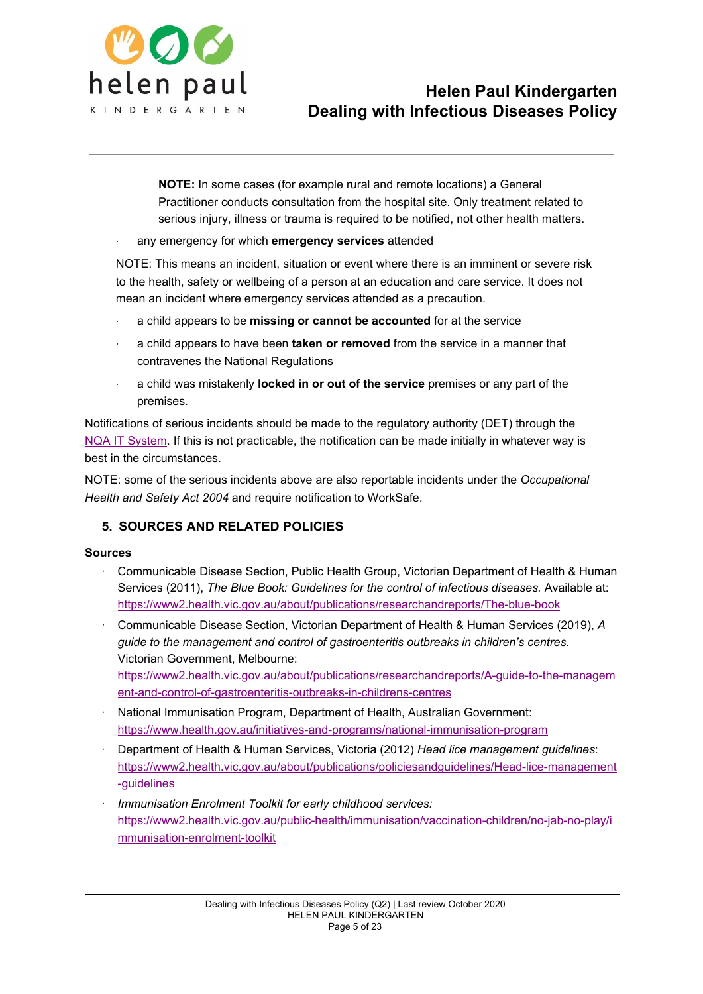

**NOTE:** In some cases (for example rural and remote locations) a General Practitioner conducts consultation from the hospital site. Only treatment related to serious injury, illness or trauma is required to be notified, not other health matters.

· any emergency for which **emergency services** attended

NOTE: This means an incident, situation or event where there is an imminent or severe risk to the health, safety or wellbeing of a person at an education and care service. It does not mean an incident where emergency services attended as a precaution.

- · a child appears to be **missing or cannot be accounted** for at the service
- · a child appears to have been **taken or removed** from the service in a manner that contravenes the National Regulations
- · a child was mistakenly **locked in or out of the service** premises or any part of the premises.

Notifications of serious incidents should be made to the regulatory authority (DET) through th[e](https://www.acecqa.gov.au/resources/national-quality-agenda-it-system) NQA IT [System.](https://www.acecqa.gov.au/resources/national-quality-agenda-it-system) If this is not practicable, the notification can be made initially in whatever way is best in the circumstances.

NOTE: some of the serious incidents above are also reportable incidents under the *Occupational Health and Safety Act 2004* and require notification to WorkSafe.

### **5. SOURCES AND RELATED POLICIES**

#### **Sources**

- · Communicable Disease Section, Public Health Group, Victorian Department of Health & Human Services (2011), *The Blue Book: Guidelines for the control of infectious diseases.* Available at[:](https://www2.health.vic.gov.au/about/publications/researchandreports/The-blue-book) <https://www2.health.vic.gov.au/about/publications/researchandreports/The-blue-book>
- · Communicable Disease Section, Victorian Department of Health & Human Services (2019), *A guide to the management and control of gastroenteritis outbreaks in children's centres*. Victorian Government, Melbourne[:](https://www2.health.vic.gov.au/about/publications/researchandreports/A-guide-to-the-management-and-control-of-gastroenteritis-outbreaks-in-childrens-centres) [https://www2.health.vic.gov.au/about/publications/researchandreports/A-guide-to-the-managem](https://www2.health.vic.gov.au/about/publications/researchandreports/A-guide-to-the-management-and-control-of-gastroenteritis-outbreaks-in-childrens-centres)
- [ent-and-control-of-gastroenteritis-outbreaks-in-childrens-centres](https://www2.health.vic.gov.au/about/publications/researchandreports/A-guide-to-the-management-and-control-of-gastroenteritis-outbreaks-in-childrens-centres) National Immunisation Program, Department of Health, Australian Government[:](https://www.health.gov.au/initiatives-and-programs/national-immunisation-program) <https://www.health.gov.au/initiatives-and-programs/national-immunisation-program>
- · Department of Health & Human Services, Victoria (2012) *Head lice management guidelines*[:](https://www2.health.vic.gov.au/about/publications/policiesandguidelines/Head-lice-management-guidelines) [https://www2.health.vic.gov.au/about/publications/policiesandguidelines/Head-lice-management](https://www2.health.vic.gov.au/about/publications/policiesandguidelines/Head-lice-management-guidelines) [-guidelines](https://www2.health.vic.gov.au/about/publications/policiesandguidelines/Head-lice-management-guidelines)
- · *Immunisation Enrolment Toolkit for early childhood services:* [https://www2.health.vic.gov.au/public-health/immunisation/vaccination-children/no-jab-no-play/i](https://www2.health.vic.gov.au/public-health/immunisation/vaccination-children/no-jab-no-play/immunisation-enrolment-toolkit) [mmunisation-enrolment-toolkit](https://www2.health.vic.gov.au/public-health/immunisation/vaccination-children/no-jab-no-play/immunisation-enrolment-toolkit)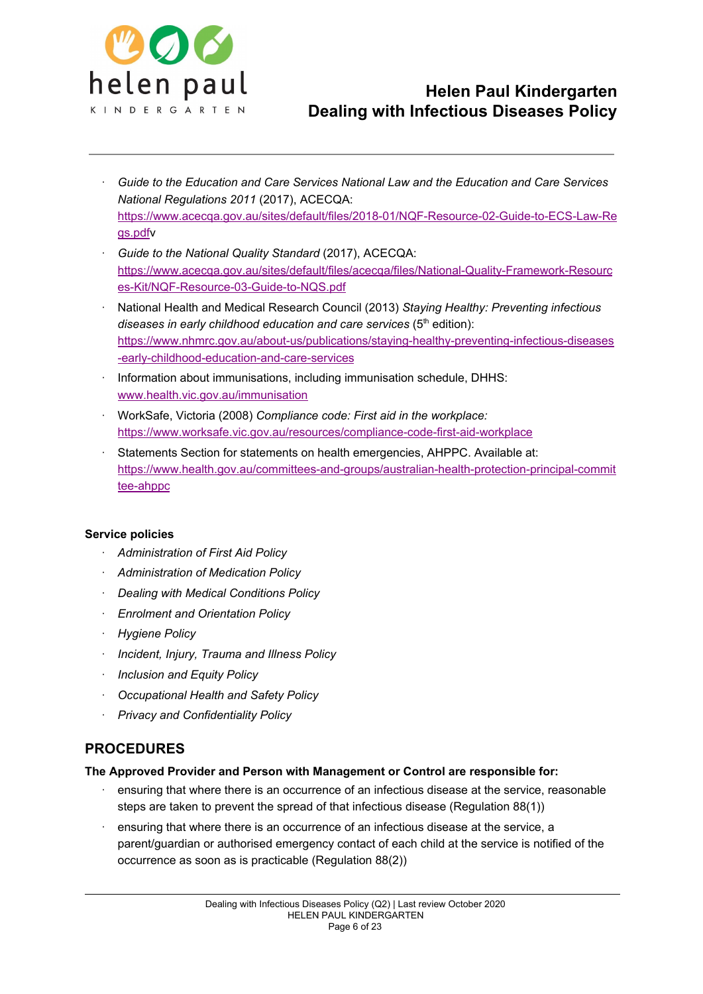

- · *Guide to the Education and Care Services National Law and the Education and Care Services National Regulations 2011* (2017), ACECQA: [https://www.acecqa.gov.au/sites/default/files/2018-01/NQF-Resource-02-Guide-to-ECS-Law-Re](https://www.acecqa.gov.au/sites/default/files/2018-01/NQF-Resource-02-Guide-to-ECS-Law-Regs.pdf) [gs.pdf](https://www.acecqa.gov.au/sites/default/files/2018-01/NQF-Resource-02-Guide-to-ECS-Law-Regs.pdf)v
- · *Guide to the National Quality Standard* (2017), ACECQA: [https://www.acecqa.gov.au/sites/default/files/acecqa/files/National-Quality-Framework-Resourc](https://www.acecqa.gov.au/sites/default/files/acecqa/files/National-Quality-Framework-Resources-Kit/NQF-Resource-03-Guide-to-NQS.pdf) [es-Kit/NQF-Resource-03-Guide-to-NQS.pdf](https://www.acecqa.gov.au/sites/default/files/acecqa/files/National-Quality-Framework-Resources-Kit/NQF-Resource-03-Guide-to-NQS.pdf)
- · National Health and Medical Research Council (2013) *Staying Healthy: Preventing infectious diseases in early childhood education and care services* (5 th edition)[:](https://www.nhmrc.gov.au/about-us/publications/staying-healthy-preventing-infectious-diseases-early-childhood-education-and-care-services) [https://www.nhmrc.gov.au/about-us/publications/staying-healthy-preventing-infectious-diseases](https://www.nhmrc.gov.au/about-us/publications/staying-healthy-preventing-infectious-diseases-early-childhood-education-and-care-services) [-early-childhood-education-and-care-services](https://www.nhmrc.gov.au/about-us/publications/staying-healthy-preventing-infectious-diseases-early-childhood-education-and-care-services)
- · Information about immunisations, including immunisation schedule, DHHS: [www.health.vic.gov.au/immunisation](http://www.health.vic.gov.au/immunisation)
- · WorkSafe, Victoria (2008) *Compliance code: First aid in the workplace:* <https://www.worksafe.vic.gov.au/resources/compliance-code-first-aid-workplace>
- Statements Section for statements on health emergencies, AHPPC. Available at: [https://www.health.gov.au/committees-and-groups/australian-health-protection-principal-commit](https://www.health.gov.au/committees-and-groups/australian-health-protection-principal-committee-ahppc) [tee-ahppc](https://www.health.gov.au/committees-and-groups/australian-health-protection-principal-committee-ahppc)

#### **Service policies**

- · *Administration of First Aid Policy*
- · *Administration of Medication Policy*
- · *Dealing with Medical Conditions Policy*
- · *Enrolment and Orientation Policy*
- · *Hygiene Policy*
- · *Incident, Injury, Trauma and Illness Policy*
- · *Inclusion and Equity Policy*
- · *Occupational Health and Safety Policy*
- · *Privacy and Confidentiality Policy*

### **PROCEDURES**

#### **The Approved Provider and Person with Management or Control are responsible for:**

- · ensuring that where there is an occurrence of an infectious disease at the service, reasonable steps are taken to prevent the spread of that infectious disease (Regulation 88(1))
- ensuring that where there is an occurrence of an infectious disease at the service, a parent/guardian or authorised emergency contact of each child at the service is notified of the occurrence as soon as is practicable (Regulation 88(2))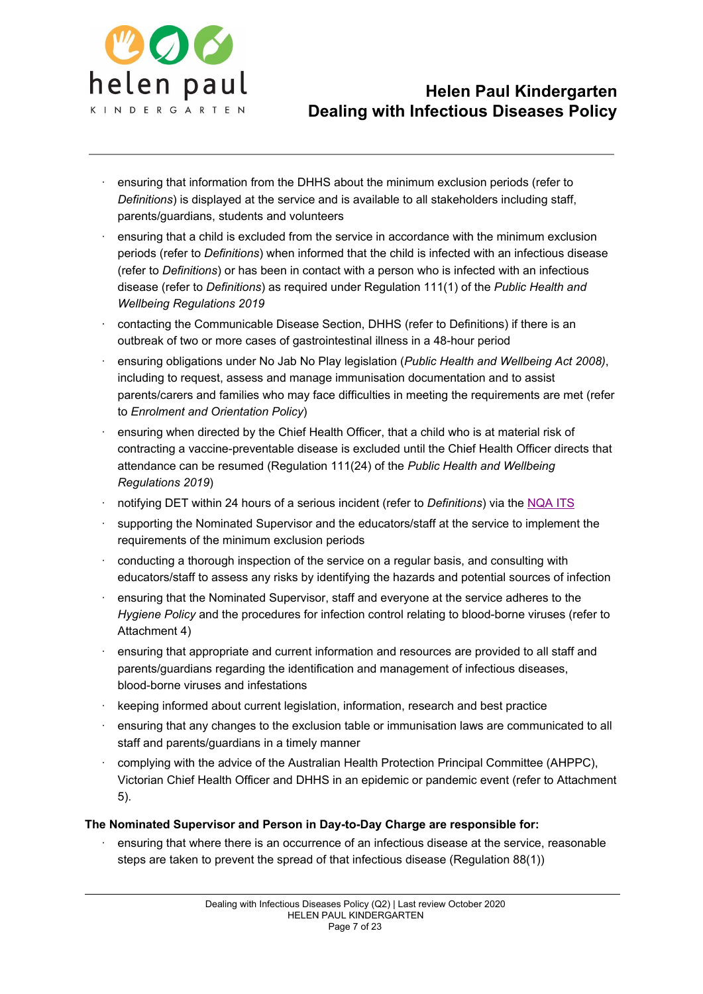

- · ensuring that information from the DHHS about the minimum exclusion periods (refer to *Definitions*) is displayed at the service and is available to all stakeholders including staff, parents/guardians, students and volunteers
- ensuring that a child is excluded from the service in accordance with the minimum exclusion periods (refer to *Definitions*) when informed that the child is infected with an infectious disease (refer to *Definitions*) or has been in contact with a person who is infected with an infectious disease (refer to *Definitions*) as required under Regulation 111(1) of the *Public Health and Wellbeing Regulations 2019*
- · contacting the Communicable Disease Section, DHHS (refer to Definitions) if there is an outbreak of two or more cases of gastrointestinal illness in a 48-hour period
- · ensuring obligations under No Jab No Play legislation (*Public Health and Wellbeing Act 2008)*, including to request, assess and manage immunisation documentation and to assist parents/carers and families who may face difficulties in meeting the requirements are met (refer to *Enrolment and Orientation Policy*)
- ensuring when directed by the Chief Health Officer, that a child who is at material risk of contracting a vaccine-preventable disease is excluded until the Chief Health Officer directs that attendance can be resumed (Regulation 111(24) of the *Public Health and Wellbeing Regulations 2019*)
- · notifying DET within 24 hours of a serious incident (refer to *Definitions*) via th[e](https://www.acecqa.gov.au/resources/national-quality-agenda-it-system) [NQA](https://www.acecqa.gov.au/resources/national-quality-agenda-it-system) ITS
- supporting the Nominated Supervisor and the educators/staff at the service to implement the requirements of the minimum exclusion periods
- · conducting a thorough inspection of the service on a regular basis, and consulting with educators/staff to assess any risks by identifying the hazards and potential sources of infection
- · ensuring that the Nominated Supervisor, staff and everyone at the service adheres to the *Hygiene Policy* and the procedures for infection control relating to blood-borne viruses (refer to Attachment 4)
- · ensuring that appropriate and current information and resources are provided to all staff and parents/guardians regarding the identification and management of infectious diseases, blood-borne viruses and infestations
- · keeping informed about current legislation, information, research and best practice
- ensuring that any changes to the exclusion table or immunisation laws are communicated to all staff and parents/guardians in a timely manner
- · complying with the advice of the Australian Health Protection Principal Committee (AHPPC), Victorian Chief Health Officer and DHHS in an epidemic or pandemic event (refer to Attachment 5).

#### **The Nominated Supervisor and Person in Day-to-Day Charge are responsible for:**

· ensuring that where there is an occurrence of an infectious disease at the service, reasonable steps are taken to prevent the spread of that infectious disease (Regulation 88(1))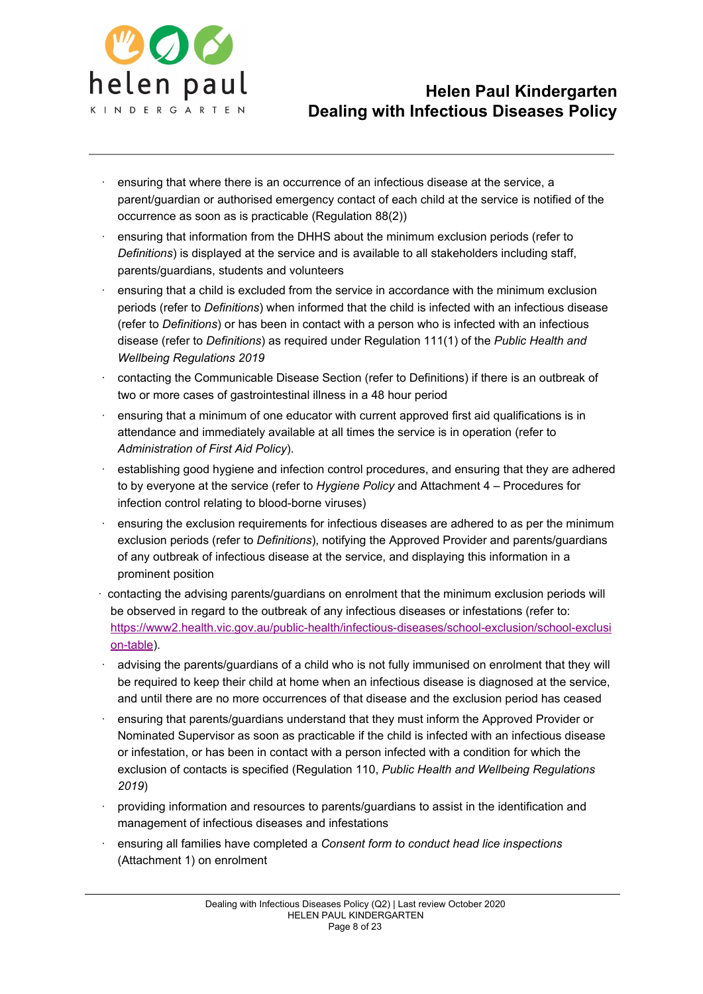

- ensuring that where there is an occurrence of an infectious disease at the service, a parent/guardian or authorised emergency contact of each child at the service is notified of the occurrence as soon as is practicable (Regulation 88(2))
- ensuring that information from the DHHS about the minimum exclusion periods (refer to *Definitions*) is displayed at the service and is available to all stakeholders including staff, parents/guardians, students and volunteers
- · ensuring that a child is excluded from the service in accordance with the minimum exclusion periods (refer to *Definitions*) when informed that the child is infected with an infectious disease (refer to *Definitions*) or has been in contact with a person who is infected with an infectious disease (refer to *Definitions*) as required under Regulation 111(1) of the *Public Health and Wellbeing Regulations 2019*
- · contacting the Communicable Disease Section (refer to Definitions) if there is an outbreak of two or more cases of gastrointestinal illness in a 48 hour period
- · ensuring that a minimum of one educator with current approved first aid qualifications is in attendance and immediately available at all times the service is in operation (refer to *Administration of First Aid Policy*).
- · establishing good hygiene and infection control procedures, and ensuring that they are adhered to by everyone at the service (refer to *Hygiene Policy* and Attachment 4 – Procedures for infection control relating to blood-borne viruses)
- · ensuring the exclusion requirements for infectious diseases are adhered to as per the minimum exclusion periods (refer to *Definitions*), notifying the Approved Provider and parents/guardians of any outbreak of infectious disease at the service, and displaying this information in a prominent position
- · contacting the advising parents/guardians on enrolment that the minimum exclusion periods will be observed in regard to the outbreak of any infectious diseases or infestations (refer to[:](https://www2.health.vic.gov.au/public-health/infectious-diseases/school-exclusion/school-exclusion-table) [https://www2.health.vic.gov.au/public-health/infectious-diseases/school-exclusion/school-exclusi](https://www2.health.vic.gov.au/public-health/infectious-diseases/school-exclusion/school-exclusion-table) [on-table\)](https://www2.health.vic.gov.au/public-health/infectious-diseases/school-exclusion/school-exclusion-table).
- advising the parents/guardians of a child who is not fully immunised on enrolment that they will be required to keep their child at home when an infectious disease is diagnosed at the service, and until there are no more occurrences of that disease and the exclusion period has ceased
- · ensuring that parents/guardians understand that they must inform the Approved Provider or Nominated Supervisor as soon as practicable if the child is infected with an infectious disease or infestation, or has been in contact with a person infected with a condition for which the exclusion of contacts is specified (Regulation 110, *Public Health and Wellbeing Regulations 2019*)
- · providing information and resources to parents/guardians to assist in the identification and management of infectious diseases and infestations
- · ensuring all families have completed a *Consent form to conduct head lice inspections* (Attachment 1) on enrolment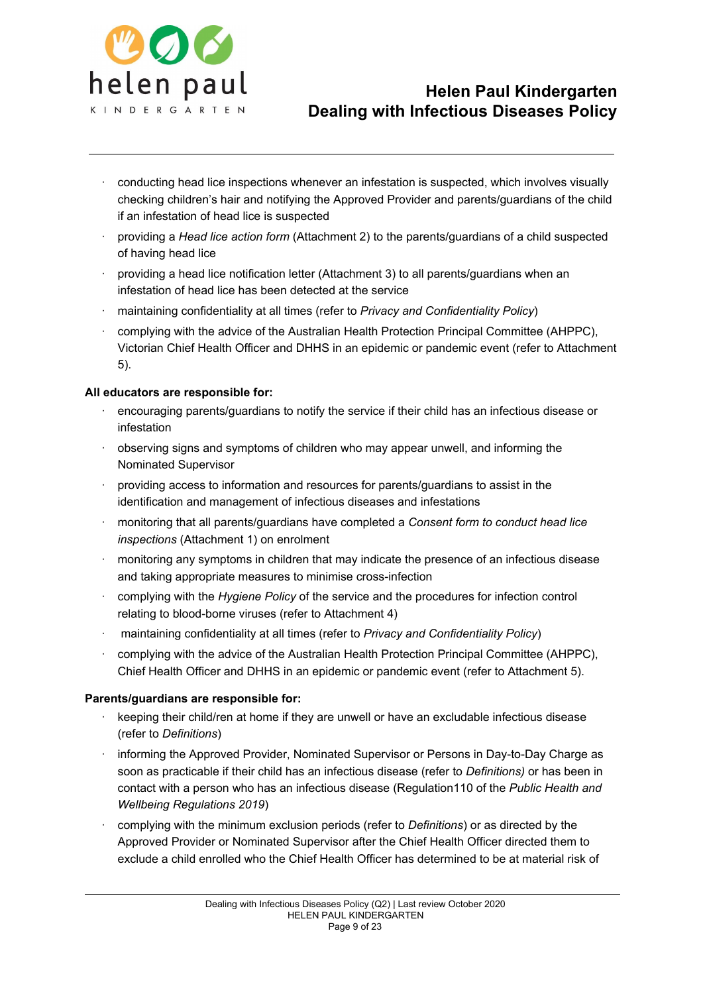

- · conducting head lice inspections whenever an infestation is suspected, which involves visually checking children's hair and notifying the Approved Provider and parents/guardians of the child if an infestation of head lice is suspected
- · providing a *Head lice action form* (Attachment 2) to the parents/guardians of a child suspected of having head lice
- · providing a head lice notification letter (Attachment 3) to all parents/guardians when an infestation of head lice has been detected at the service
- · maintaining confidentiality at all times (refer to *Privacy and Confidentiality Policy*)
- · complying with the advice of the Australian Health Protection Principal Committee (AHPPC), Victorian Chief Health Officer and DHHS in an epidemic or pandemic event (refer to Attachment 5).

#### **All educators are responsible for:**

- · encouraging parents/guardians to notify the service if their child has an infectious disease or infestation
- · observing signs and symptoms of children who may appear unwell, and informing the Nominated Supervisor
- providing access to information and resources for parents/guardians to assist in the identification and management of infectious diseases and infestations
- · monitoring that all parents/guardians have completed a *Consent form to conduct head lice inspections* (Attachment 1) on enrolment
- · monitoring any symptoms in children that may indicate the presence of an infectious disease and taking appropriate measures to minimise cross-infection
- · complying with the *Hygiene Policy* of the service and the procedures for infection control relating to blood-borne viruses (refer to Attachment 4)
- · maintaining confidentiality at all times (refer to *Privacy and Confidentiality Policy*)
- · complying with the advice of the Australian Health Protection Principal Committee (AHPPC), Chief Health Officer and DHHS in an epidemic or pandemic event (refer to Attachment 5).

#### **Parents/guardians are responsible for:**

- keeping their child/ren at home if they are unwell or have an excludable infectious disease (refer to *Definitions*)
- · informing the Approved Provider, Nominated Supervisor or Persons in Day-to-Day Charge as soon as practicable if their child has an infectious disease (refer to *Definitions)* or has been in contact with a person who has an infectious disease (Regulation110 of the *Public Health and Wellbeing Regulations 2019*)
- · complying with the minimum exclusion periods (refer to *Definitions*) or as directed by the Approved Provider or Nominated Supervisor after the Chief Health Officer directed them to exclude a child enrolled who the Chief Health Officer has determined to be at material risk of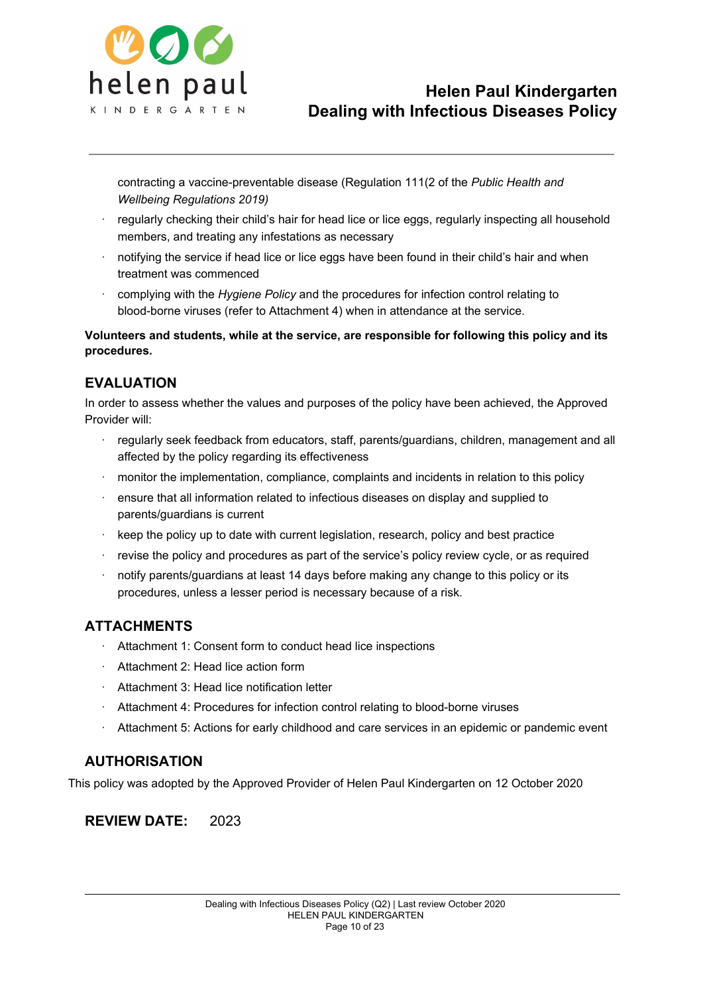

contracting a vaccine-preventable disease (Regulation 111(2 of the *Public Health and Wellbeing Regulations 2019)*

- · regularly checking their child's hair for head lice or lice eggs, regularly inspecting all household members, and treating any infestations as necessary
- · notifying the service if head lice or lice eggs have been found in their child's hair and when treatment was commenced
- · complying with the *Hygiene Policy* and the procedures for infection control relating to blood-borne viruses (refer to Attachment 4) when in attendance at the service.

#### **Volunteers and students, while at the service, are responsible for following this policy and its procedures.**

## **EVALUATION**

In order to assess whether the values and purposes of the policy have been achieved, the Approved Provider will:

- · regularly seek feedback from educators, staff, parents/guardians, children, management and all affected by the policy regarding its effectiveness
- monitor the implementation, compliance, complaints and incidents in relation to this policy
- · ensure that all information related to infectious diseases on display and supplied to parents/guardians is current
- keep the policy up to date with current legislation, research, policy and best practice
- revise the policy and procedures as part of the service's policy review cycle, or as required
- · notify parents/guardians at least 14 days before making any change to this policy or its procedures, unless a lesser period is necessary because of a risk.

### **ATTACHMENTS**

- · Attachment 1: Consent form to conduct head lice inspections
- · Attachment 2: Head lice action form
- · Attachment 3: Head lice notification letter
- Attachment 4: Procedures for infection control relating to blood-borne viruses
- Attachment 5: Actions for early childhood and care services in an epidemic or pandemic event

### **AUTHORISATION**

This policy was adopted by the Approved Provider of Helen Paul Kindergarten on 12 October 2020

**REVIEW DATE:** 2023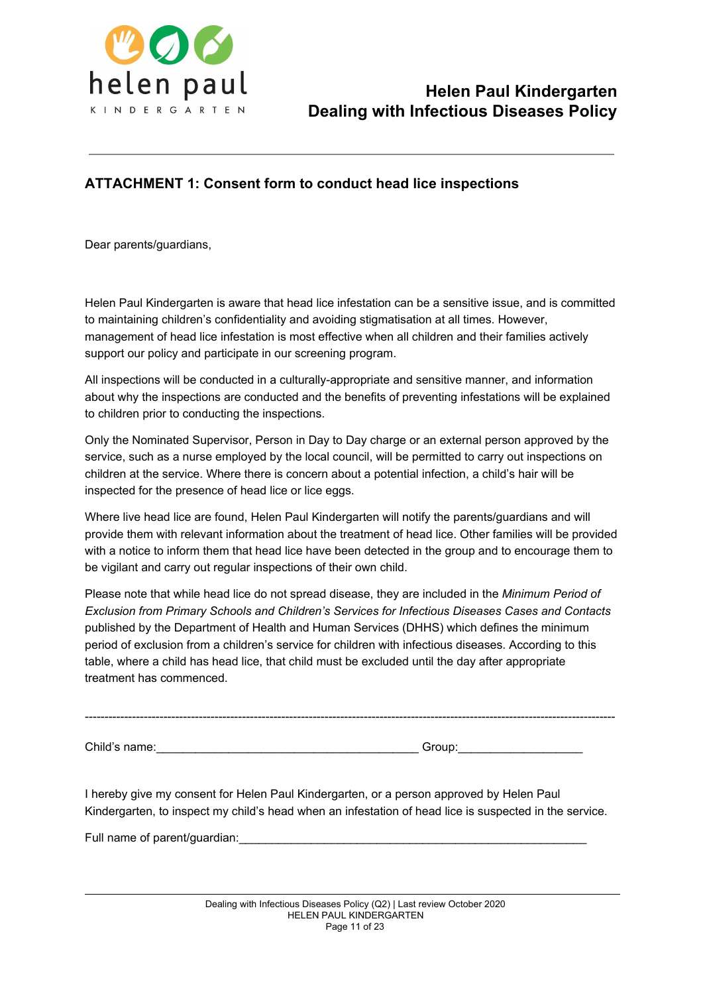

## **ATTACHMENT 1: Consent form to conduct head lice inspections**

Dear parents/guardians,

Helen Paul Kindergarten is aware that head lice infestation can be a sensitive issue, and is committed to maintaining children's confidentiality and avoiding stigmatisation at all times. However, management of head lice infestation is most effective when all children and their families actively support our policy and participate in our screening program.

All inspections will be conducted in a culturally-appropriate and sensitive manner, and information about why the inspections are conducted and the benefits of preventing infestations will be explained to children prior to conducting the inspections.

Only the Nominated Supervisor, Person in Day to Day charge or an external person approved by the service, such as a nurse employed by the local council, will be permitted to carry out inspections on children at the service. Where there is concern about a potential infection, a child's hair will be inspected for the presence of head lice or lice eggs.

Where live head lice are found, Helen Paul Kindergarten will notify the parents/guardians and will provide them with relevant information about the treatment of head lice. Other families will be provided with a notice to inform them that head lice have been detected in the group and to encourage them to be vigilant and carry out regular inspections of their own child.

Please note that while head lice do not spread disease, they are included in the *Minimum Period of Exclusion from Primary Schools and Children's Services for Infectious Diseases Cases and Contacts* published by the Department of Health and Human Services (DHHS) which defines the minimum period of exclusion from a children's service for children with infectious diseases. According to this table, where a child has head lice, that child must be excluded until the day after appropriate treatment has commenced.

| ----          | -------------------------- |
|---------------|----------------------------|
| Child's name: | Group:                     |

I hereby give my consent for Helen Paul Kindergarten, or a person approved by Helen Paul Kindergarten, to inspect my child's head when an infestation of head lice is suspected in the service.

Full name of parent/guardian: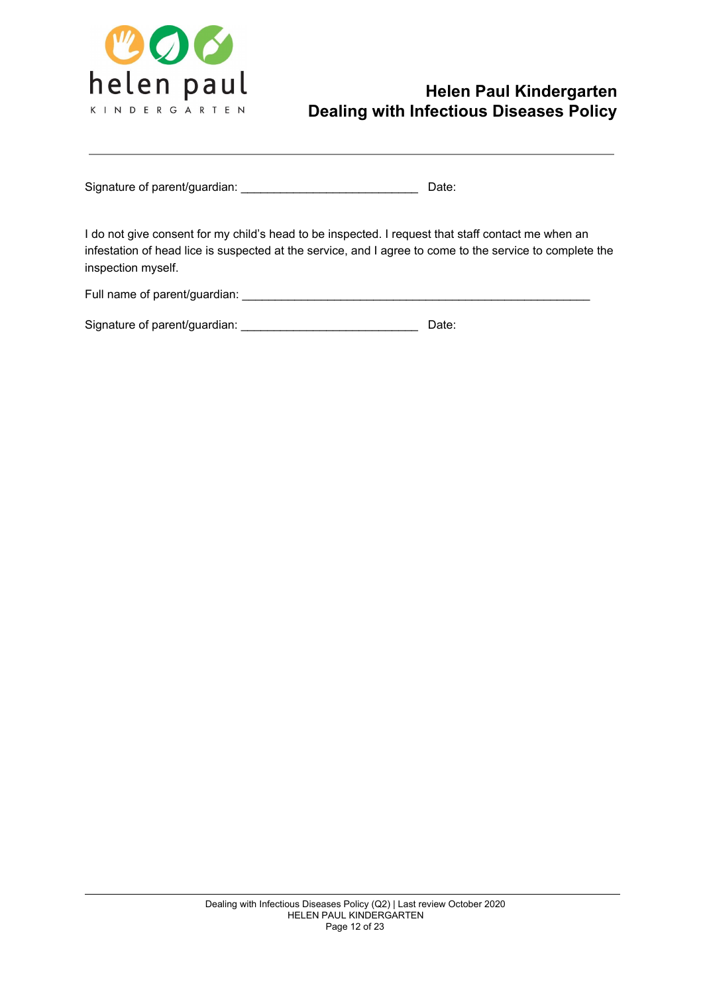

| Signature of parent/guardian: |  | Date: |
|-------------------------------|--|-------|
|-------------------------------|--|-------|

I do not give consent for my child's head to be inspected. I request that staff contact me when an infestation of head lice is suspected at the service, and I agree to come to the service to complete the inspection myself.

| Full name of parent/guardian: |  |
|-------------------------------|--|
|                               |  |

| Signature of parent/guardian: |  | Date: |
|-------------------------------|--|-------|
|-------------------------------|--|-------|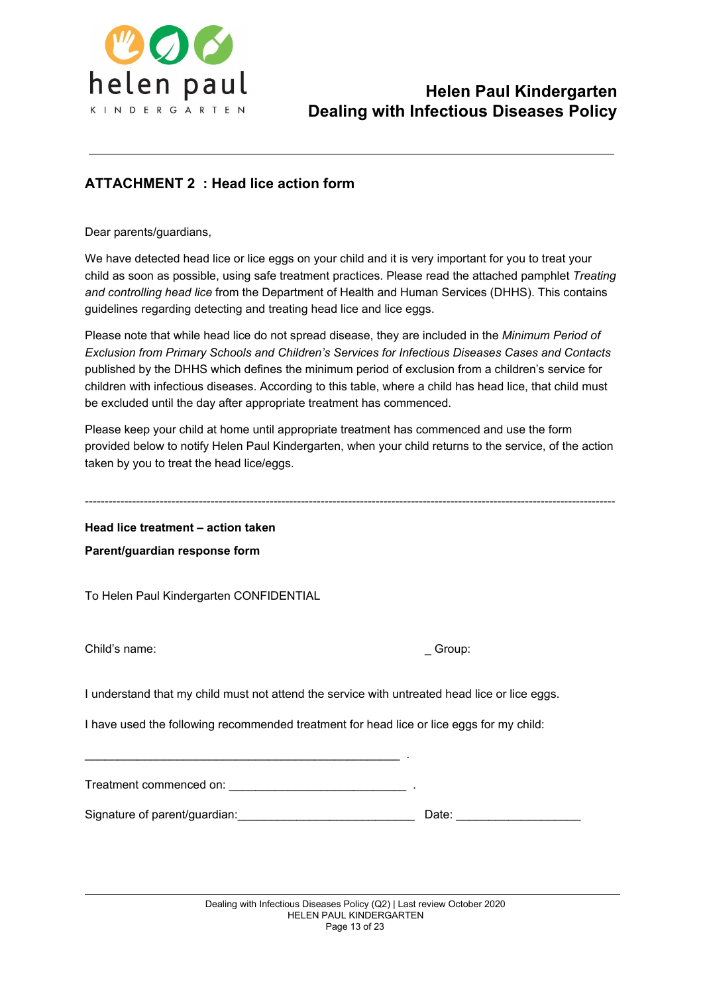

## **ATTACHMENT 2 : Head lice action form**

Dear parents/guardians,

We have detected head lice or lice eggs on your child and it is very important for you to treat your child as soon as possible, using safe treatment practices. Please read the attached pamphlet *Treating and controlling head lice* from the Department of Health and Human Services (DHHS). This contains guidelines regarding detecting and treating head lice and lice eggs.

Please note that while head lice do not spread disease, they are included in the *Minimum Period of Exclusion from Primary Schools and Children's Services for Infectious Diseases Cases and Contacts* published by the DHHS which defines the minimum period of exclusion from a children's service for children with infectious diseases. According to this table, where a child has head lice, that child must be excluded until the day after appropriate treatment has commenced.

Please keep your child at home until appropriate treatment has commenced and use the form provided below to notify Helen Paul Kindergarten, when your child returns to the service, of the action taken by you to treat the head lice/eggs.

---------------------------------------------------------------------------------------------------------------------------------------

**Head lice treatment – action taken Parent/guardian response form**

To Helen Paul Kindergarten CONFIDENTIAL

Child's name: \_ \_ Group: \_ Group: \_ Group: \_ Group: \_ Group: \_ Group: \_ Group:

I understand that my child must not attend the service with untreated head lice or lice eggs.

I have used the following recommended treatment for head lice or lice eggs for my child:

Treatment commenced on: \_\_\_\_\_\_\_\_\_\_\_\_\_\_\_\_\_\_\_\_\_\_\_\_\_\_\_ .

\_\_\_\_\_\_\_\_\_\_\_\_\_\_\_\_\_\_\_\_\_\_\_\_\_\_\_\_\_\_\_\_\_\_\_\_\_\_\_\_\_\_\_\_\_\_\_\_ .

Signature of parent/guardian: example and the state of parent/guardian:

Dealing with Infectious Diseases Policy (Q2) | Last review October 2020 HELEN PAUL KINDERGARTEN Page 13 of 23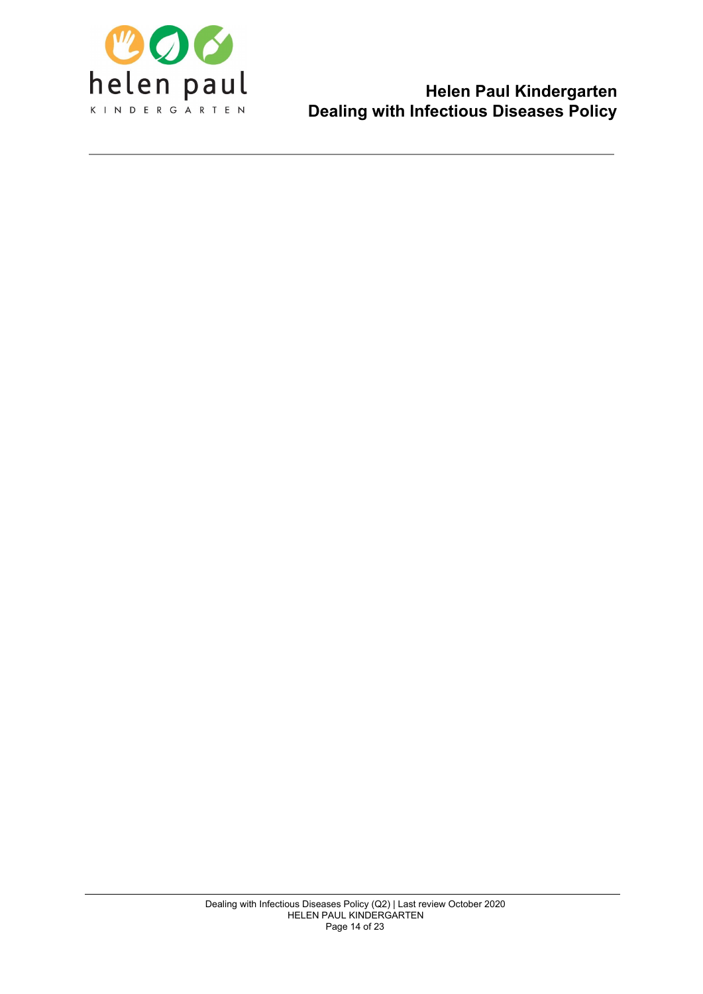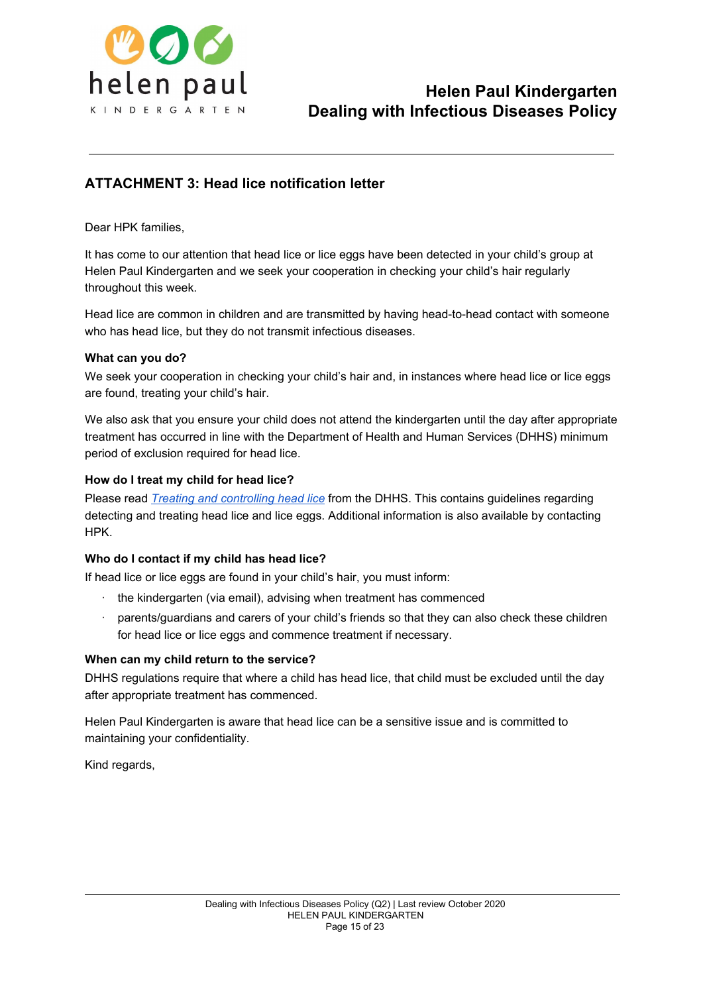

## **ATTACHMENT 3: Head lice notification letter**

Dear HPK families,

It has come to our attention that head lice or lice eggs have been detected in your child's group at Helen Paul Kindergarten and we seek your cooperation in checking your child's hair regularly throughout this week.

Head lice are common in children and are transmitted by having head-to-head contact with someone who has head lice, but they do not transmit infectious diseases.

#### **What can you do?**

We seek your cooperation in checking your child's hair and, in instances where head lice or lice eggs are found, treating your child's hair.

We also ask that you ensure your child does not attend the kindergarten until the day after appropriate treatment has occurred in line with the Department of Health and Human Services (DHHS) minimum period of exclusion required for head lice.

#### **How do I treat my child for head lice?**

Please read *Treating and [controlling](https://www2.health.vic.gov.au/about/publications/factsheets/Treating-and-controlling-headlice) head lice* from the DHHS. This contains guidelines regarding detecting and treating head lice and lice eggs. Additional information is also available by contacting HPK.

#### **Who do I contact if my child has head lice?**

If head lice or lice eggs are found in your child's hair, you must inform:

- the kindergarten (via email), advising when treatment has commenced
- · parents/guardians and carers of your child's friends so that they can also check these children for head lice or lice eggs and commence treatment if necessary.

#### **When can my child return to the service?**

DHHS regulations require that where a child has head lice, that child must be excluded until the day after appropriate treatment has commenced.

Helen Paul Kindergarten is aware that head lice can be a sensitive issue and is committed to maintaining your confidentiality.

Kind regards,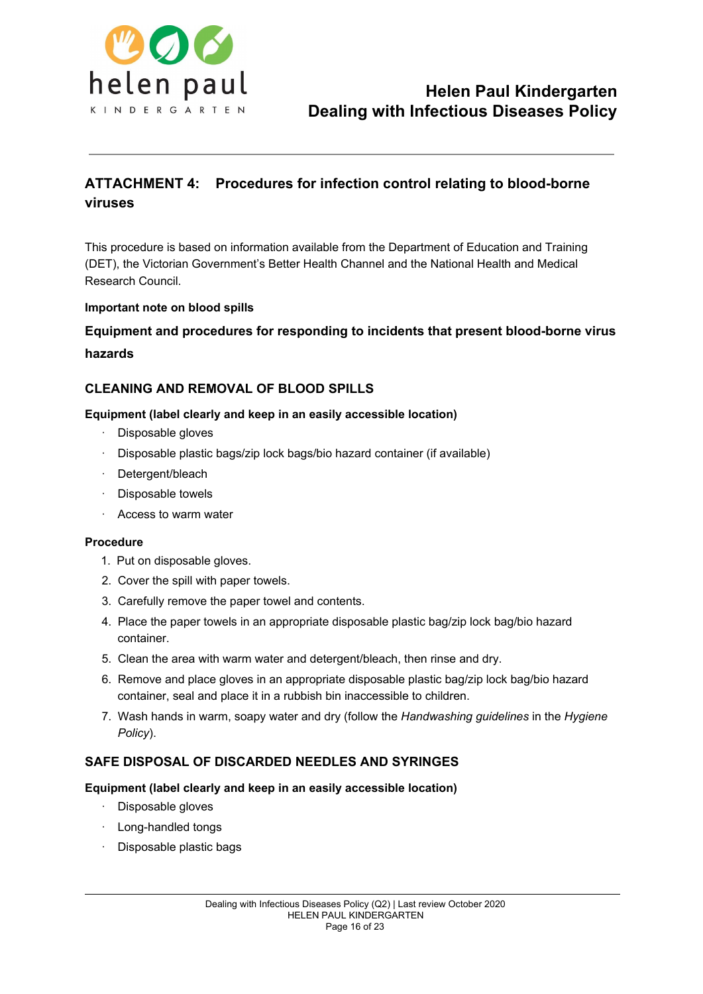

## **ATTACHMENT 4: Procedures for infection control relating to blood-borne viruses**

This procedure is based on information available from the Department of Education and Training (DET), the Victorian Government's Better Health Channel and the National Health and Medical Research Council.

#### **Important note on blood spills**

## **Equipment and procedures for responding to incidents that present blood-borne virus hazards**

### **CLEANING AND REMOVAL OF BLOOD SPILLS**

#### **Equipment (label clearly and keep in an easily accessible location)**

- Disposable gloves
- · Disposable plastic bags/zip lock bags/bio hazard container (if available)
- Detergent/bleach
- Disposable towels
- · Access to warm water

#### **Procedure**

- 1. Put on disposable gloves.
- 2. Cover the spill with paper towels.
- 3. Carefully remove the paper towel and contents.
- 4. Place the paper towels in an appropriate disposable plastic bag/zip lock bag/bio hazard container.
- 5. Clean the area with warm water and detergent/bleach, then rinse and dry.
- 6. Remove and place gloves in an appropriate disposable plastic bag/zip lock bag/bio hazard container, seal and place it in a rubbish bin inaccessible to children.
- 7. Wash hands in warm, soapy water and dry (follow the *Handwashing guidelines* in the *Hygiene Policy*).

### **SAFE DISPOSAL OF DISCARDED NEEDLES AND SYRINGES**

#### **Equipment (label clearly and keep in an easily accessible location)**

- · Disposable gloves
- · Long-handled tongs
- Disposable plastic bags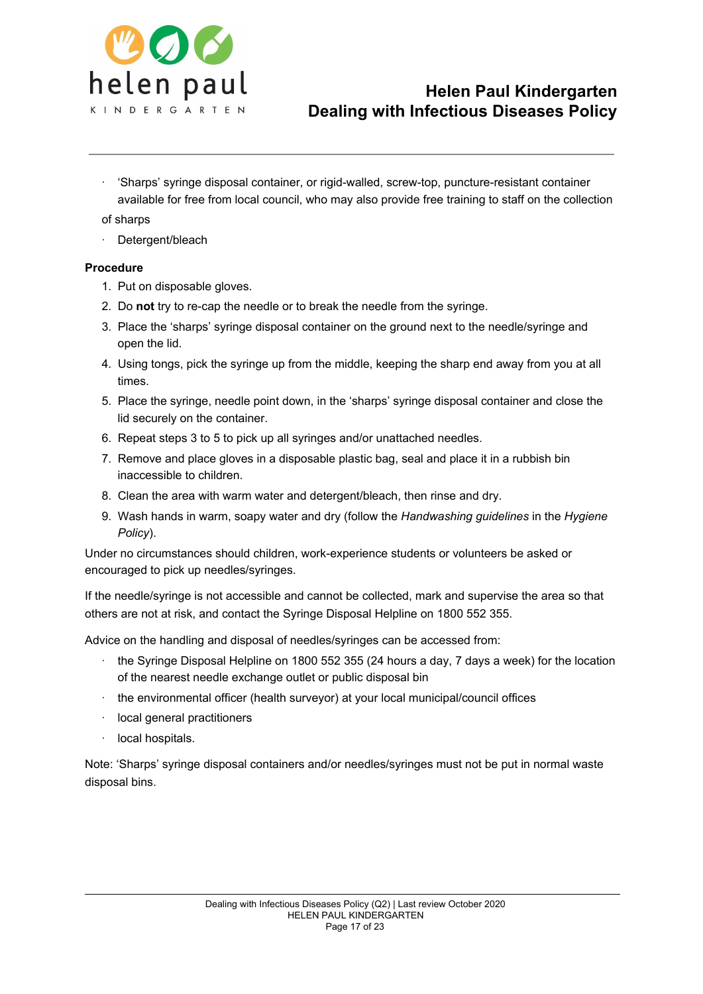

· 'Sharps' syringe disposal container, or rigid-walled, screw-top, puncture-resistant container available for free from local council, who may also provide free training to staff on the collection

of sharps

Detergent/bleach

#### **Procedure**

- 1. Put on disposable gloves.
- 2. Do **not** try to re-cap the needle or to break the needle from the syringe.
- 3. Place the 'sharps' syringe disposal container on the ground next to the needle/syringe and open the lid.
- 4. Using tongs, pick the syringe up from the middle, keeping the sharp end away from you at all times.
- 5. Place the syringe, needle point down, in the 'sharps' syringe disposal container and close the lid securely on the container.
- 6. Repeat steps 3 to 5 to pick up all syringes and/or unattached needles.
- 7. Remove and place gloves in a disposable plastic bag, seal and place it in a rubbish bin inaccessible to children.
- 8. Clean the area with warm water and detergent/bleach, then rinse and dry.
- 9. Wash hands in warm, soapy water and dry (follow the *Handwashing guidelines* in the *Hygiene Policy*).

Under no circumstances should children, work-experience students or volunteers be asked or encouraged to pick up needles/syringes.

If the needle/syringe is not accessible and cannot be collected, mark and supervise the area so that others are not at risk, and contact the Syringe Disposal Helpline on 1800 552 355.

Advice on the handling and disposal of needles/syringes can be accessed from:

- the Syringe Disposal Helpline on 1800 552 355 (24 hours a day, 7 days a week) for the location of the nearest needle exchange outlet or public disposal bin
- · the environmental officer (health surveyor) at your local municipal/council offices
- · local general practitioners
- local hospitals.

Note: 'Sharps' syringe disposal containers and/or needles/syringes must not be put in normal waste disposal bins.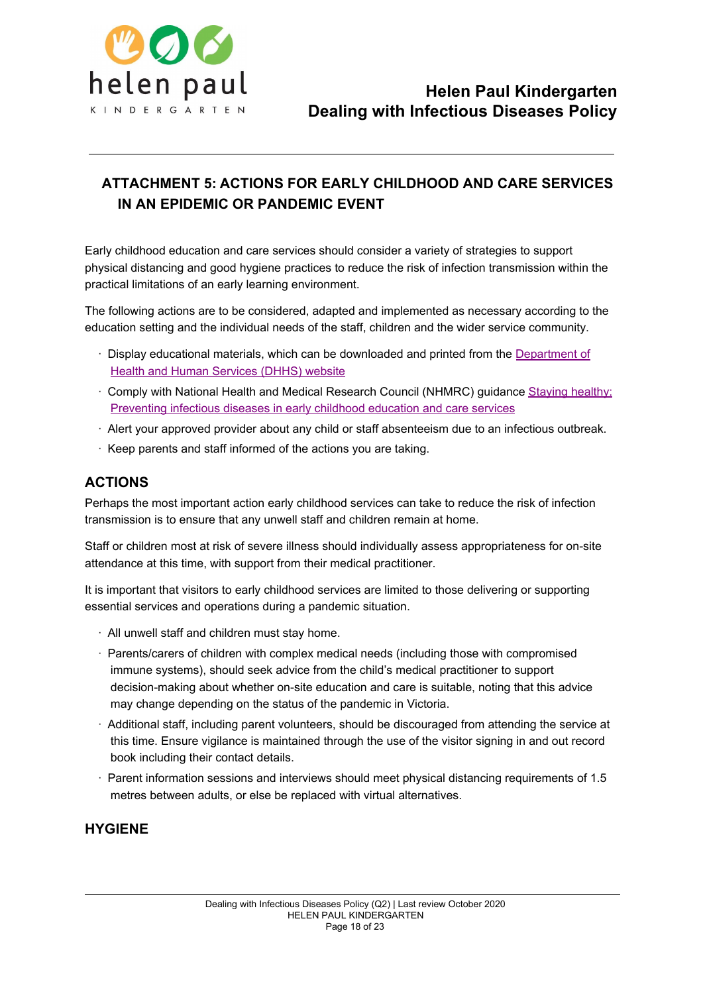

# **ATTACHMENT 5: ACTIONS FOR EARLY CHILDHOOD AND CARE SERVICES IN AN EPIDEMIC OR PANDEMIC EVENT**

Early childhood education and care services should consider a variety of strategies to support physical distancing and good hygiene practices to reduce the risk of infection transmission within the practical limitations of an early learning environment.

The following actions are to be considered, adapted and implemented as necessary according to the education setting and the individual needs of the staff, children and the wider service community.

- · Display educational materials, which can be downloaded and printed from the [Department](http://www.dhhs.vic.gov.au/coronavirus) of Health and Human [Services](http://www.dhhs.vic.gov.au/coronavirus) (DHHS) website
- · Comply with National Health and Medical Research Council (NHMRC) guidance Staying [healthy:](https://www.nhmrc.gov.au/about-us/publications/staying-healthy-preventing-infectious-diseases-early-childhood-education-and-care-services) [Preventing](https://www.nhmrc.gov.au/about-us/publications/staying-healthy-preventing-infectious-diseases-early-childhood-education-and-care-services) infectious diseases in early childhood education and care services
- · Alert your approved provider about any child or staff absenteeism due to an infectious outbreak.
- · Keep parents and staff informed of the actions you are taking.

### **ACTIONS**

Perhaps the most important action early childhood services can take to reduce the risk of infection transmission is to ensure that any unwell staff and children remain at home.

Staff or children most at risk of severe illness should individually assess appropriateness for on-site attendance at this time, with support from their medical practitioner.

It is important that visitors to early childhood services are limited to those delivering or supporting essential services and operations during a pandemic situation.

- · All unwell staff and children must stay home.
- · Parents/carers of children with complex medical needs (including those with compromised immune systems), should seek advice from the child's medical practitioner to support decision-making about whether on-site education and care is suitable, noting that this advice may change depending on the status of the pandemic in Victoria.
- · Additional staff, including parent volunteers, should be discouraged from attending the service at this time. Ensure vigilance is maintained through the use of the visitor signing in and out record book including their contact details.
- · Parent information sessions and interviews should meet physical distancing requirements of 1.5 metres between adults, or else be replaced with virtual alternatives.

### **HYGIENE**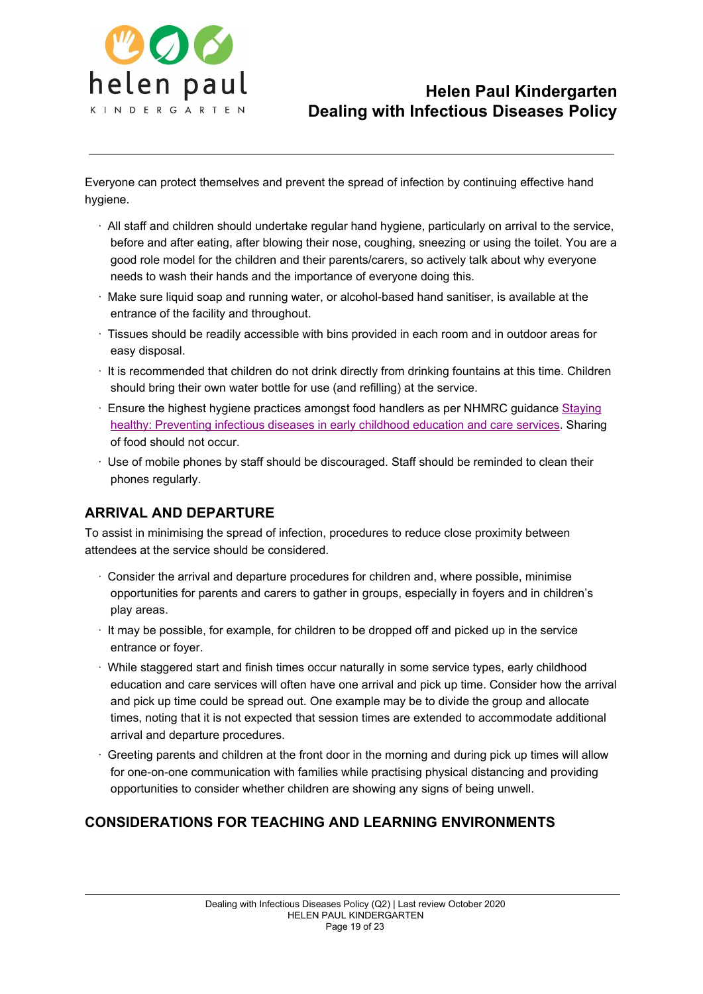

Everyone can protect themselves and prevent the spread of infection by continuing effective hand hygiene.

- · All staff and children should undertake regular hand hygiene, particularly on arrival to the service, before and after eating, after blowing their nose, coughing, sneezing or using the toilet. You are a good role model for the children and their parents/carers, so actively talk about why everyone needs to wash their hands and the importance of everyone doing this.
- · Make sure liquid soap and running water, or alcohol-based hand sanitiser, is available at the entrance of the facility and throughout.
- · Tissues should be readily accessible with bins provided in each room and in outdoor areas for easy disposal.
- · It is recommended that children do not drink directly from drinking fountains at this time. Children should bring their own water bottle for use (and refilling) at the service.
- · Ensure the highest hygiene practices amongst food handlers as per NHMRC guidance [Staying](https://www.nhmrc.gov.au/about-us/publications/staying-healthy-preventing-infectious-diseases-early-childhood-education-and-care-services) healthy: [Preventing](https://www.nhmrc.gov.au/about-us/publications/staying-healthy-preventing-infectious-diseases-early-childhood-education-and-care-services) infectious diseases in early childhood education and care services. Sharing of food should not occur.
- · Use of mobile phones by staff should be discouraged. Staff should be reminded to clean their phones regularly.

## **ARRIVAL AND DEPARTURE**

To assist in minimising the spread of infection, procedures to reduce close proximity between attendees at the service should be considered.

- · Consider the arrival and departure procedures for children and, where possible, minimise opportunities for parents and carers to gather in groups, especially in foyers and in children's play areas.
- · It may be possible, for example, for children to be dropped off and picked up in the service entrance or foyer.
- · While staggered start and finish times occur naturally in some service types, early childhood education and care services will often have one arrival and pick up time. Consider how the arrival and pick up time could be spread out. One example may be to divide the group and allocate times, noting that it is not expected that session times are extended to accommodate additional arrival and departure procedures.
- · Greeting parents and children at the front door in the morning and during pick up times will allow for one-on-one communication with families while practising physical distancing and providing opportunities to consider whether children are showing any signs of being unwell.

## **CONSIDERATIONS FOR TEACHING AND LEARNING ENVIRONMENTS**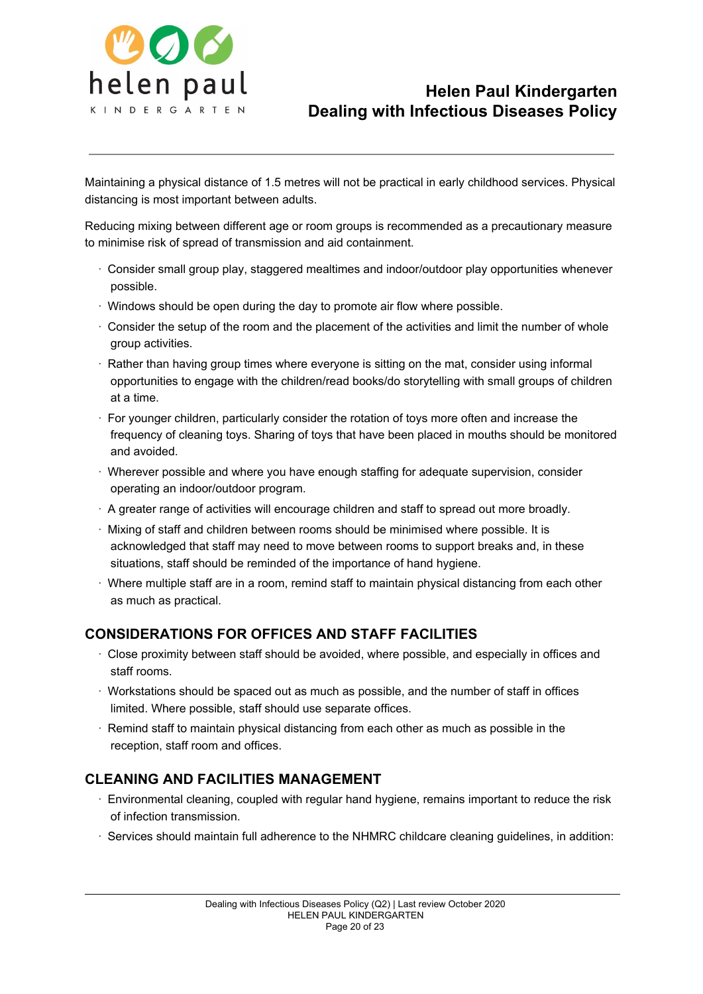

Maintaining a physical distance of 1.5 metres will not be practical in early childhood services. Physical distancing is most important between adults.

Reducing mixing between different age or room groups is recommended as a precautionary measure to minimise risk of spread of transmission and aid containment.

- · Consider small group play, staggered mealtimes and indoor/outdoor play opportunities whenever possible.
- · Windows should be open during the day to promote air flow where possible.
- · Consider the setup of the room and the placement of the activities and limit the number of whole group activities.
- · Rather than having group times where everyone is sitting on the mat, consider using informal opportunities to engage with the children/read books/do storytelling with small groups of children at a time.
- · For younger children, particularly consider the rotation of toys more often and increase the frequency of cleaning toys. Sharing of toys that have been placed in mouths should be monitored and avoided.
- · Wherever possible and where you have enough staffing for adequate supervision, consider operating an indoor/outdoor program.
- · A greater range of activities will encourage children and staff to spread out more broadly.
- · Mixing of staff and children between rooms should be minimised where possible. It is acknowledged that staff may need to move between rooms to support breaks and, in these situations, staff should be reminded of the importance of hand hygiene.
- · Where multiple staff are in a room, remind staff to maintain physical distancing from each other as much as practical.

### **CONSIDERATIONS FOR OFFICES AND STAFF FACILITIES**

- · Close proximity between staff should be avoided, where possible, and especially in offices and staff rooms.
- · Workstations should be spaced out as much as possible, and the number of staff in offices limited. Where possible, staff should use separate offices.
- · Remind staff to maintain physical distancing from each other as much as possible in the reception, staff room and offices.

### **CLEANING AND FACILITIES MANAGEMENT**

- · Environmental cleaning, coupled with regular hand hygiene, remains important to reduce the risk of infection transmission.
- · Services should maintain full adherence to the NHMRC childcare cleaning guidelines, in addition: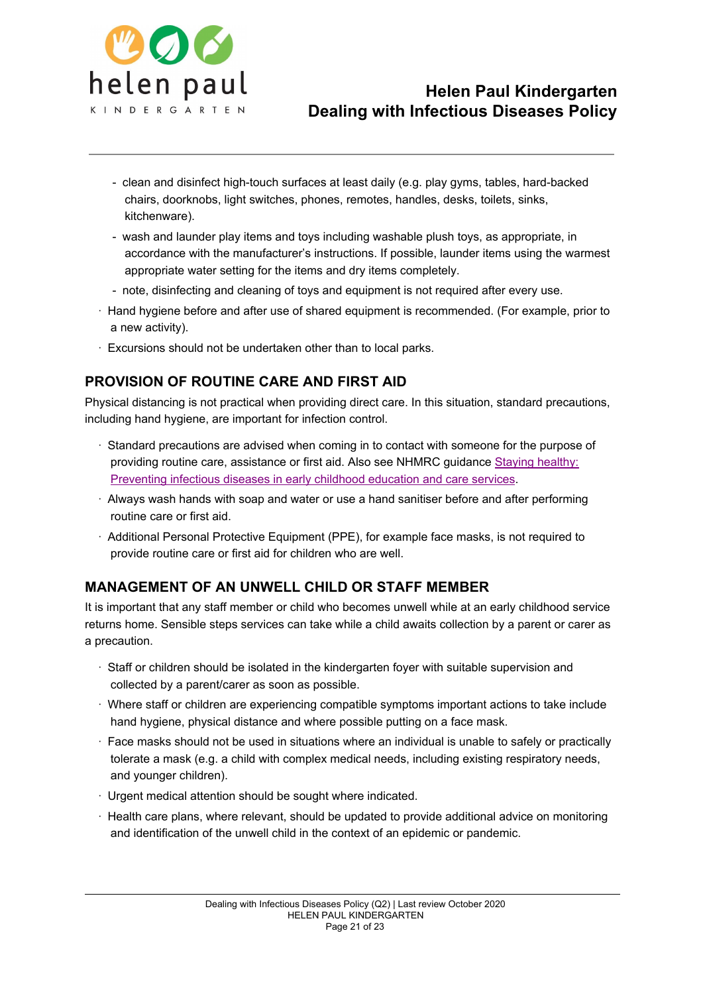

- clean and disinfect high-touch surfaces at least daily (e.g. play gyms, tables, hard-backed chairs, doorknobs, light switches, phones, remotes, handles, desks, toilets, sinks, kitchenware).
- wash and launder play items and toys including washable plush toys, as appropriate, in accordance with the manufacturer's instructions. If possible, launder items using the warmest appropriate water setting for the items and dry items completely.
- note, disinfecting and cleaning of toys and equipment is not required after every use.
- · Hand hygiene before and after use of shared equipment is recommended. (For example, prior to a new activity).
- · Excursions should not be undertaken other than to local parks.

## **PROVISION OF ROUTINE CARE AND FIRST AID**

Physical distancing is not practical when providing direct care. In this situation, standard precautions, including hand hygiene, are important for infection control.

- · Standard precautions are advised when coming in to contact with someone for the purpose of providing routine care, assistance or first aid. Also see NHMRC guidance [S](https://www.nhmrc.gov.au/about-us/publications/staying-healthy-preventing-infectious-diseases-early-childhood-education-and-care-services)taying [healthy:](https://www.nhmrc.gov.au/about-us/publications/staying-healthy-preventing-infectious-diseases-early-childhood-education-and-care-services) [Preventing](https://www.nhmrc.gov.au/about-us/publications/staying-healthy-preventing-infectious-diseases-early-childhood-education-and-care-services) infectious diseases in early childhood education and care services.
- · Always wash hands with soap and water or use a hand sanitiser before and after performing routine care or first aid.
- · Additional Personal Protective Equipment (PPE), for example face masks, is not required to provide routine care or first aid for children who are well.

## **MANAGEMENT OF AN UNWELL CHILD OR STAFF MEMBER**

It is important that any staff member or child who becomes unwell while at an early childhood service returns home. Sensible steps services can take while a child awaits collection by a parent or carer as a precaution.

- · Staff or children should be isolated in the kindergarten foyer with suitable supervision and collected by a parent/carer as soon as possible.
- · Where staff or children are experiencing compatible symptoms important actions to take include hand hygiene, physical distance and where possible putting on a face mask.
- · Face masks should not be used in situations where an individual is unable to safely or practically tolerate a mask (e.g. a child with complex medical needs, including existing respiratory needs, and younger children).
- · Urgent medical attention should be sought where indicated.
- · Health care plans, where relevant, should be updated to provide additional advice on monitoring and identification of the unwell child in the context of an epidemic or pandemic.